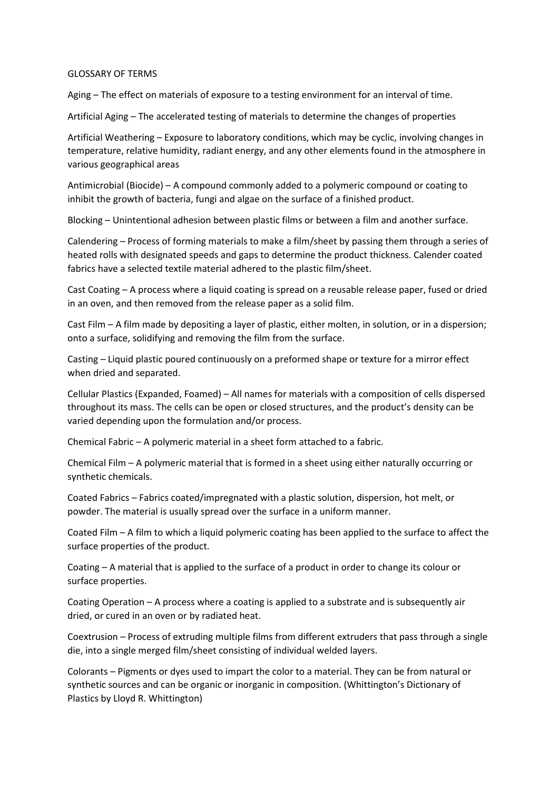## GLOSSARY OF TERMS

Aging – The effect on materials of exposure to a testing environment for an interval of time.

Artificial Aging – The accelerated testing of materials to determine the changes of properties

Artificial Weathering – Exposure to laboratory conditions, which may be cyclic, involving changes in temperature, relative humidity, radiant energy, and any other elements found in the atmosphere in various geographical areas

Antimicrobial (Biocide) – A compound commonly added to a polymeric compound or coating to inhibit the growth of bacteria, fungi and algae on the surface of a finished product.

Blocking – Unintentional adhesion between plastic films or between a film and another surface.

Calendering – Process of forming materials to make a film/sheet by passing them through a series of heated rolls with designated speeds and gaps to determine the product thickness. Calender coated fabrics have a selected textile material adhered to the plastic film/sheet.

Cast Coating – A process where a liquid coating is spread on a reusable release paper, fused or dried in an oven, and then removed from the release paper as a solid film.

Cast Film – A film made by depositing a layer of plastic, either molten, in solution, or in a dispersion; onto a surface, solidifying and removing the film from the surface.

Casting – Liquid plastic poured continuously on a preformed shape or texture for a mirror effect when dried and separated.

Cellular Plastics (Expanded, Foamed) – All names for materials with a composition of cells dispersed throughout its mass. The cells can be open or closed structures, and the product's density can be varied depending upon the formulation and/or process.

Chemical Fabric – A polymeric material in a sheet form attached to a fabric.

Chemical Film – A polymeric material that is formed in a sheet using either naturally occurring or synthetic chemicals.

Coated Fabrics – Fabrics coated/impregnated with a plastic solution, dispersion, hot melt, or powder. The material is usually spread over the surface in a uniform manner.

Coated Film – A film to which a liquid polymeric coating has been applied to the surface to affect the surface properties of the product.

Coating – A material that is applied to the surface of a product in order to change its colour or surface properties.

Coating Operation – A process where a coating is applied to a substrate and is subsequently air dried, or cured in an oven or by radiated heat.

Coextrusion – Process of extruding multiple films from different extruders that pass through a single die, into a single merged film/sheet consisting of individual welded layers.

Colorants – Pigments or dyes used to impart the color to a material. They can be from natural or synthetic sources and can be organic or inorganic in composition. (Whittington's Dictionary of Plastics by Lloyd R. Whittington)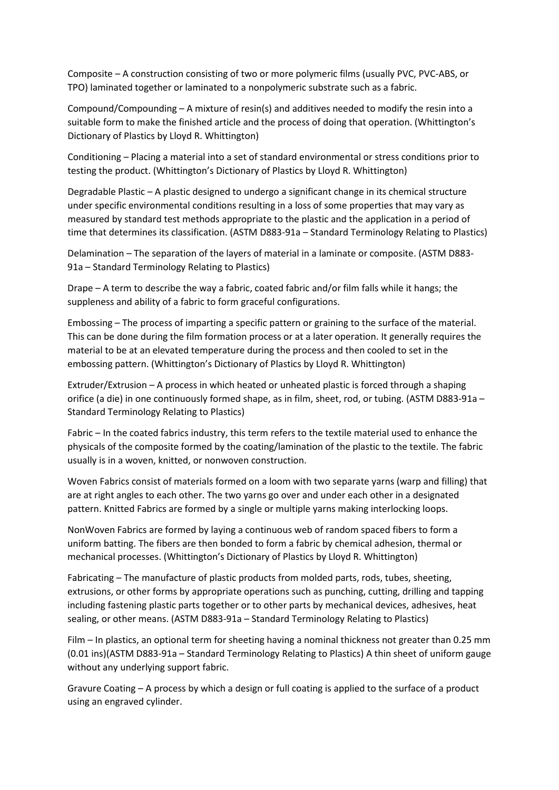Composite – A construction consisting of two or more polymeric films (usually PVC, PVC-ABS, or TPO) laminated together or laminated to a nonpolymeric substrate such as a fabric.

Compound/Compounding – A mixture of resin(s) and additives needed to modify the resin into a suitable form to make the finished article and the process of doing that operation. (Whittington's Dictionary of Plastics by Lloyd R. Whittington)

Conditioning – Placing a material into a set of standard environmental or stress conditions prior to testing the product. (Whittington's Dictionary of Plastics by Lloyd R. Whittington)

Degradable Plastic – A plastic designed to undergo a significant change in its chemical structure under specific environmental conditions resulting in a loss of some properties that may vary as measured by standard test methods appropriate to the plastic and the application in a period of time that determines its classification. (ASTM D883-91a – Standard Terminology Relating to Plastics)

Delamination – The separation of the layers of material in a laminate or composite. (ASTM D883- 91a – Standard Terminology Relating to Plastics)

Drape – A term to describe the way a fabric, coated fabric and/or film falls while it hangs; the suppleness and ability of a fabric to form graceful configurations.

Embossing – The process of imparting a specific pattern or graining to the surface of the material. This can be done during the film formation process or at a later operation. It generally requires the material to be at an elevated temperature during the process and then cooled to set in the embossing pattern. (Whittington's Dictionary of Plastics by Lloyd R. Whittington)

Extruder/Extrusion – A process in which heated or unheated plastic is forced through a shaping orifice (a die) in one continuously formed shape, as in film, sheet, rod, or tubing. (ASTM D883-91a – Standard Terminology Relating to Plastics)

Fabric – In the coated fabrics industry, this term refers to the textile material used to enhance the physicals of the composite formed by the coating/lamination of the plastic to the textile. The fabric usually is in a woven, knitted, or nonwoven construction.

Woven Fabrics consist of materials formed on a loom with two separate yarns (warp and filling) that are at right angles to each other. The two yarns go over and under each other in a designated pattern. Knitted Fabrics are formed by a single or multiple yarns making interlocking loops.

NonWoven Fabrics are formed by laying a continuous web of random spaced fibers to form a uniform batting. The fibers are then bonded to form a fabric by chemical adhesion, thermal or mechanical processes. (Whittington's Dictionary of Plastics by Lloyd R. Whittington)

Fabricating – The manufacture of plastic products from molded parts, rods, tubes, sheeting, extrusions, or other forms by appropriate operations such as punching, cutting, drilling and tapping including fastening plastic parts together or to other parts by mechanical devices, adhesives, heat sealing, or other means. (ASTM D883-91a – Standard Terminology Relating to Plastics)

Film – In plastics, an optional term for sheeting having a nominal thickness not greater than 0.25 mm (0.01 ins)(ASTM D883-91a – Standard Terminology Relating to Plastics) A thin sheet of uniform gauge without any underlying support fabric.

Gravure Coating – A process by which a design or full coating is applied to the surface of a product using an engraved cylinder.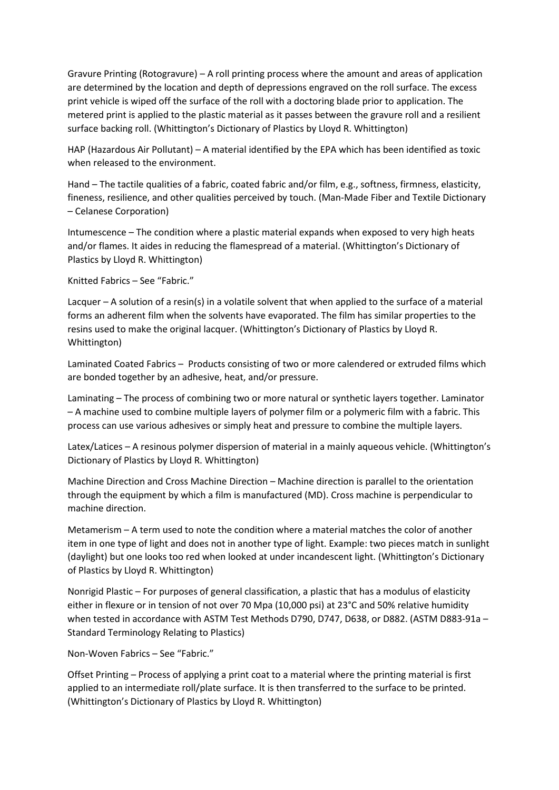Gravure Printing (Rotogravure) – A roll printing process where the amount and areas of application are determined by the location and depth of depressions engraved on the roll surface. The excess print vehicle is wiped off the surface of the roll with a doctoring blade prior to application. The metered print is applied to the plastic material as it passes between the gravure roll and a resilient surface backing roll. (Whittington's Dictionary of Plastics by Lloyd R. Whittington)

HAP (Hazardous Air Pollutant) – A material identified by the EPA which has been identified as toxic when released to the environment.

Hand – The tactile qualities of a fabric, coated fabric and/or film, e.g., softness, firmness, elasticity, fineness, resilience, and other qualities perceived by touch. (Man-Made Fiber and Textile Dictionary – Celanese Corporation)

Intumescence – The condition where a plastic material expands when exposed to very high heats and/or flames. It aides in reducing the flamespread of a material. (Whittington's Dictionary of Plastics by Lloyd R. Whittington)

Knitted Fabrics – See "Fabric."

Lacquer – A solution of a resin(s) in a volatile solvent that when applied to the surface of a material forms an adherent film when the solvents have evaporated. The film has similar properties to the resins used to make the original lacquer. (Whittington's Dictionary of Plastics by Lloyd R. Whittington)

Laminated Coated Fabrics – Products consisting of two or more calendered or extruded films which are bonded together by an adhesive, heat, and/or pressure.

Laminating – The process of combining two or more natural or synthetic layers together. Laminator – A machine used to combine multiple layers of polymer film or a polymeric film with a fabric. This process can use various adhesives or simply heat and pressure to combine the multiple layers.

Latex/Latices – A resinous polymer dispersion of material in a mainly aqueous vehicle. (Whittington's Dictionary of Plastics by Lloyd R. Whittington)

Machine Direction and Cross Machine Direction – Machine direction is parallel to the orientation through the equipment by which a film is manufactured (MD). Cross machine is perpendicular to machine direction.

Metamerism – A term used to note the condition where a material matches the color of another item in one type of light and does not in another type of light. Example: two pieces match in sunlight (daylight) but one looks too red when looked at under incandescent light. (Whittington's Dictionary of Plastics by Lloyd R. Whittington)

Nonrigid Plastic – For purposes of general classification, a plastic that has a modulus of elasticity either in flexure or in tension of not over 70 Mpa (10,000 psi) at 23°C and 50% relative humidity when tested in accordance with ASTM Test Methods D790, D747, D638, or D882. (ASTM D883-91a – Standard Terminology Relating to Plastics)

Non-Woven Fabrics – See "Fabric."

Offset Printing – Process of applying a print coat to a material where the printing material is first applied to an intermediate roll/plate surface. It is then transferred to the surface to be printed. (Whittington's Dictionary of Plastics by Lloyd R. Whittington)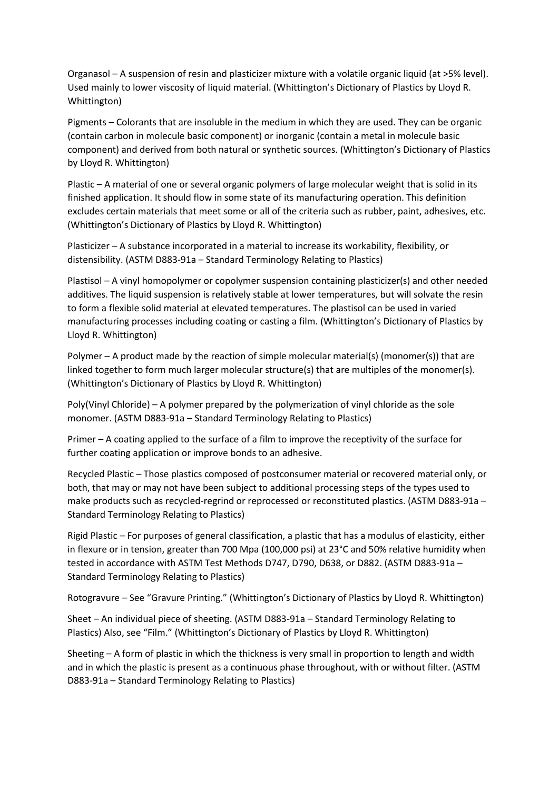Organasol – A suspension of resin and plasticizer mixture with a volatile organic liquid (at >5% level). Used mainly to lower viscosity of liquid material. (Whittington's Dictionary of Plastics by Lloyd R. Whittington)

Pigments – Colorants that are insoluble in the medium in which they are used. They can be organic (contain carbon in molecule basic component) or inorganic (contain a metal in molecule basic component) and derived from both natural or synthetic sources. (Whittington's Dictionary of Plastics by Lloyd R. Whittington)

Plastic – A material of one or several organic polymers of large molecular weight that is solid in its finished application. It should flow in some state of its manufacturing operation. This definition excludes certain materials that meet some or all of the criteria such as rubber, paint, adhesives, etc. (Whittington's Dictionary of Plastics by Lloyd R. Whittington)

Plasticizer – A substance incorporated in a material to increase its workability, flexibility, or distensibility. (ASTM D883-91a – Standard Terminology Relating to Plastics)

Plastisol – A vinyl homopolymer or copolymer suspension containing plasticizer(s) and other needed additives. The liquid suspension is relatively stable at lower temperatures, but will solvate the resin to form a flexible solid material at elevated temperatures. The plastisol can be used in varied manufacturing processes including coating or casting a film. (Whittington's Dictionary of Plastics by Lloyd R. Whittington)

Polymer – A product made by the reaction of simple molecular material(s) (monomer(s)) that are linked together to form much larger molecular structure(s) that are multiples of the monomer(s). (Whittington's Dictionary of Plastics by Lloyd R. Whittington)

Poly(Vinyl Chloride) – A polymer prepared by the polymerization of vinyl chloride as the sole monomer. (ASTM D883-91a – Standard Terminology Relating to Plastics)

Primer – A coating applied to the surface of a film to improve the receptivity of the surface for further coating application or improve bonds to an adhesive.

Recycled Plastic – Those plastics composed of postconsumer material or recovered material only, or both, that may or may not have been subject to additional processing steps of the types used to make products such as recycled-regrind or reprocessed or reconstituted plastics. (ASTM D883-91a – Standard Terminology Relating to Plastics)

Rigid Plastic – For purposes of general classification, a plastic that has a modulus of elasticity, either in flexure or in tension, greater than 700 Mpa (100,000 psi) at 23°C and 50% relative humidity when tested in accordance with ASTM Test Methods D747, D790, D638, or D882. (ASTM D883-91a – Standard Terminology Relating to Plastics)

Rotogravure – See "Gravure Printing." (Whittington's Dictionary of Plastics by Lloyd R. Whittington)

Sheet – An individual piece of sheeting. (ASTM D883-91a – Standard Terminology Relating to Plastics) Also, see "Film." (Whittington's Dictionary of Plastics by Lloyd R. Whittington)

Sheeting – A form of plastic in which the thickness is very small in proportion to length and width and in which the plastic is present as a continuous phase throughout, with or without filter. (ASTM D883-91a – Standard Terminology Relating to Plastics)